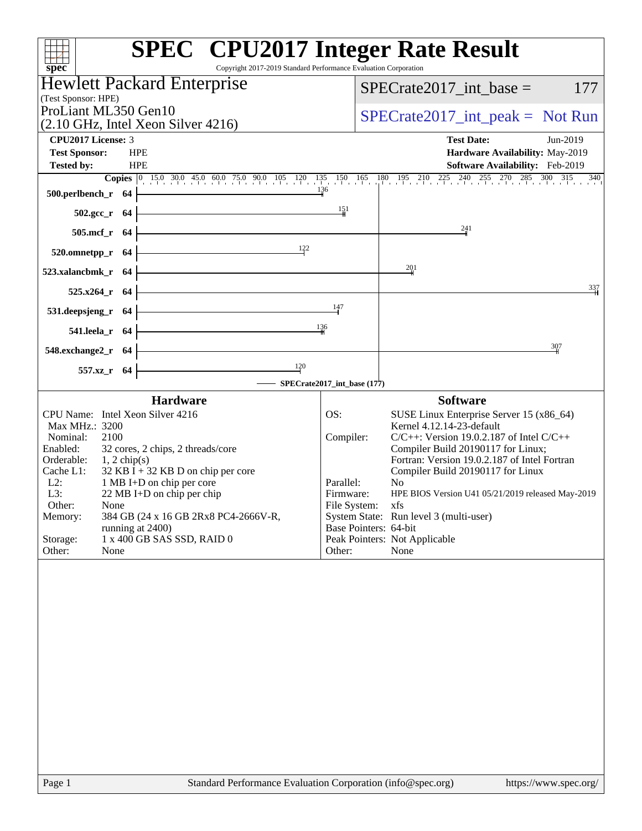| Copyright 2017-2019 Standard Performance Evaluation Corporation<br>spec <sup>®</sup> | <b>SPEC<sup>®</sup></b> CPU2017 Integer Rate Result                                                                  |
|--------------------------------------------------------------------------------------|----------------------------------------------------------------------------------------------------------------------|
| <b>Hewlett Packard Enterprise</b>                                                    | $SPECTate2017\_int\_base =$<br>177                                                                                   |
| (Test Sponsor: HPE)                                                                  |                                                                                                                      |
| ProLiant ML350 Gen10<br>$(2.10 \text{ GHz}, \text{Intel Xeon Silver } 4216)$         | $SPECTate2017\_int\_peak = Not Run$                                                                                  |
| <b>CPU2017 License: 3</b>                                                            | <b>Test Date:</b><br>Jun-2019                                                                                        |
| <b>Test Sponsor:</b><br><b>HPE</b>                                                   | Hardware Availability: May-2019                                                                                      |
| <b>Tested by:</b><br><b>HPE</b>                                                      | Software Availability: Feb-2019                                                                                      |
| 500.perlbench_r 64                                                                   | <b>Copies</b> 0 15.0 30.0 45.0 60.0 75.0 90.0 105 120 135 150 165 180 195 210 225 240 255 270 285 300 315 340<br>136 |
| $502.\text{sec}_r$ 64                                                                | $\frac{151}{2}$                                                                                                      |
| 505.mcf_r 64                                                                         | $\frac{241}{ }$                                                                                                      |
| 122<br>$520.0$ mnetpp_r 64                                                           |                                                                                                                      |
| 523.xalancbmk_r 64                                                                   | 201                                                                                                                  |
| $525.x264_r$ 64                                                                      | 337                                                                                                                  |
| <u> 1989 - Johann Barbara, martxa al</u><br>531.deepsjeng_r 64                       | 147                                                                                                                  |
| 136<br>541.leela_r 64                                                                |                                                                                                                      |
| 548.exchange2_r 64                                                                   | 307                                                                                                                  |
| $\frac{120}{ }$<br>557.xz_r 64                                                       | $-$ SPECrate2017_int_base (177)                                                                                      |
| <b>Hardware</b>                                                                      | <b>Software</b>                                                                                                      |
| CPU Name: Intel Xeon Silver 4216                                                     | OS:<br>SUSE Linux Enterprise Server 15 (x86_64)                                                                      |
| Max MHz.: 3200<br>Nominal:<br>2100                                                   | Kernel 4.12.14-23-default<br>$C/C++$ : Version 19.0.2.187 of Intel $C/C++$<br>Compiler:                              |
| Enabled:<br>32 cores, 2 chips, 2 threads/core                                        | Compiler Build 20190117 for Linux;                                                                                   |
| Orderable:<br>$1, 2$ chip(s)<br>$32$ KB I + 32 KB D on chip per core<br>Cache L1:    | Fortran: Version 19.0.2.187 of Intel Fortran<br>Compiler Build 20190117 for Linux                                    |
| $L2$ :<br>1 MB I+D on chip per core                                                  | Parallel:<br>N <sub>0</sub>                                                                                          |
| L3:<br>22 MB I+D on chip per chip<br>Other:<br>None                                  | HPE BIOS Version U41 05/21/2019 released May-2019<br>Firmware:<br>File System:                                       |
| 384 GB (24 x 16 GB 2Rx8 PC4-2666V-R,<br>Memory:                                      | XIS<br>System State: Run level 3 (multi-user)                                                                        |
| running at 2400)<br>1 x 400 GB SAS SSD, RAID 0                                       | Base Pointers: 64-bit<br>Peak Pointers: Not Applicable                                                               |
| Storage:<br>Other:<br>None                                                           | None<br>Other:                                                                                                       |
|                                                                                      |                                                                                                                      |
| Standard Performance Evaluation Corporation (info@spec.org)<br>Page 1                | https://www.spec.org/                                                                                                |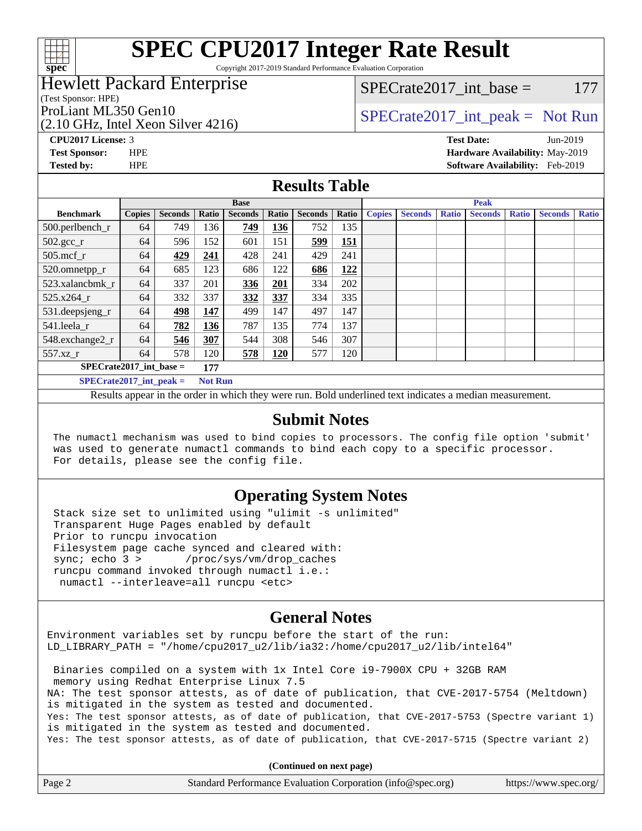

# **[SPEC CPU2017 Integer Rate Result](http://www.spec.org/auto/cpu2017/Docs/result-fields.html#SPECCPU2017IntegerRateResult)**

Copyright 2017-2019 Standard Performance Evaluation Corporation

### Hewlett Packard Enterprise

(Test Sponsor: HPE)

(2.10 GHz, Intel Xeon Silver 4216)

SPECrate2017 int\_base =  $177$ 

## ProLiant ML350 Gen10  $SPECTA 1216$  [SPECrate2017\\_int\\_peak =](http://www.spec.org/auto/cpu2017/Docs/result-fields.html#SPECrate2017intpeak) Not Run

**[Tested by:](http://www.spec.org/auto/cpu2017/Docs/result-fields.html#Testedby)** HPE **[Software Availability:](http://www.spec.org/auto/cpu2017/Docs/result-fields.html#SoftwareAvailability)** Feb-2019

**[CPU2017 License:](http://www.spec.org/auto/cpu2017/Docs/result-fields.html#CPU2017License)** 3 **[Test Date:](http://www.spec.org/auto/cpu2017/Docs/result-fields.html#TestDate)** Jun-2019 **[Test Sponsor:](http://www.spec.org/auto/cpu2017/Docs/result-fields.html#TestSponsor)** HPE **[Hardware Availability:](http://www.spec.org/auto/cpu2017/Docs/result-fields.html#HardwareAvailability)** May-2019

#### **[Results Table](http://www.spec.org/auto/cpu2017/Docs/result-fields.html#ResultsTable)**

| <b>Base</b>                      |               |                |                |                | <b>Peak</b> |                |       |               |                |              |                |              |                |              |
|----------------------------------|---------------|----------------|----------------|----------------|-------------|----------------|-------|---------------|----------------|--------------|----------------|--------------|----------------|--------------|
| <b>Benchmark</b>                 | <b>Copies</b> | <b>Seconds</b> | Ratio          | <b>Seconds</b> | Ratio       | <b>Seconds</b> | Ratio | <b>Copies</b> | <b>Seconds</b> | <b>Ratio</b> | <b>Seconds</b> | <b>Ratio</b> | <b>Seconds</b> | <b>Ratio</b> |
| 500.perlbench_r                  | 64            | 749            | 136            | 749            | 136         | 752            | 135   |               |                |              |                |              |                |              |
| $502.\text{gcc}$ _r              | 64            | 596            | 152            | 601            | 151         | 599            | 151   |               |                |              |                |              |                |              |
| $505$ .mcf r                     | 64            | 429            | 241            | 428            | 241         | 429            | 241   |               |                |              |                |              |                |              |
| 520.omnetpp_r                    | 64            | 685            | 123            | 686            | 122         | 686            | 122   |               |                |              |                |              |                |              |
| 523.xalancbmk r                  | 64            | 337            | 201            | 336            | 201         | 334            | 202   |               |                |              |                |              |                |              |
| 525.x264 r                       | 64            | 332            | 337            | 332            | 337         | 334            | 335   |               |                |              |                |              |                |              |
| 531.deepsjeng_r                  | 64            | 498            | 147            | 499            | 147         | 497            | 147   |               |                |              |                |              |                |              |
| 541.leela r                      | 64            | 782            | 136            | 787            | 135         | 774            | 137   |               |                |              |                |              |                |              |
| 548.exchange2_r                  | 64            | 546            | 307            | 544            | 308         | 546            | 307   |               |                |              |                |              |                |              |
| 557.xz                           | 64            | 578            | 120            | 578            | <b>120</b>  | 577            | 120   |               |                |              |                |              |                |              |
| $SPECrate2017$ int base =<br>177 |               |                |                |                |             |                |       |               |                |              |                |              |                |              |
| $SPECrate2017$ int peak =        |               |                | <b>Not Run</b> |                |             |                |       |               |                |              |                |              |                |              |

Results appear in the [order in which they were run](http://www.spec.org/auto/cpu2017/Docs/result-fields.html#RunOrder). Bold underlined text [indicates a median measurement](http://www.spec.org/auto/cpu2017/Docs/result-fields.html#Median).

#### **[Submit Notes](http://www.spec.org/auto/cpu2017/Docs/result-fields.html#SubmitNotes)**

 The numactl mechanism was used to bind copies to processors. The config file option 'submit' was used to generate numactl commands to bind each copy to a specific processor. For details, please see the config file.

#### **[Operating System Notes](http://www.spec.org/auto/cpu2017/Docs/result-fields.html#OperatingSystemNotes)**

 Stack size set to unlimited using "ulimit -s unlimited" Transparent Huge Pages enabled by default Prior to runcpu invocation Filesystem page cache synced and cleared with: sync; echo 3 > /proc/sys/vm/drop\_caches runcpu command invoked through numactl i.e.: numactl --interleave=all runcpu <etc>

#### **[General Notes](http://www.spec.org/auto/cpu2017/Docs/result-fields.html#GeneralNotes)**

Environment variables set by runcpu before the start of the run: LD\_LIBRARY\_PATH = "/home/cpu2017\_u2/lib/ia32:/home/cpu2017\_u2/lib/intel64"

 Binaries compiled on a system with 1x Intel Core i9-7900X CPU + 32GB RAM memory using Redhat Enterprise Linux 7.5 NA: The test sponsor attests, as of date of publication, that CVE-2017-5754 (Meltdown) is mitigated in the system as tested and documented. Yes: The test sponsor attests, as of date of publication, that CVE-2017-5753 (Spectre variant 1) is mitigated in the system as tested and documented. Yes: The test sponsor attests, as of date of publication, that CVE-2017-5715 (Spectre variant 2)

**(Continued on next page)**

| Page 2 | Standard Performance Evaluation Corporation (info@spec.org) | https://www.spec.org/ |
|--------|-------------------------------------------------------------|-----------------------|
|        |                                                             |                       |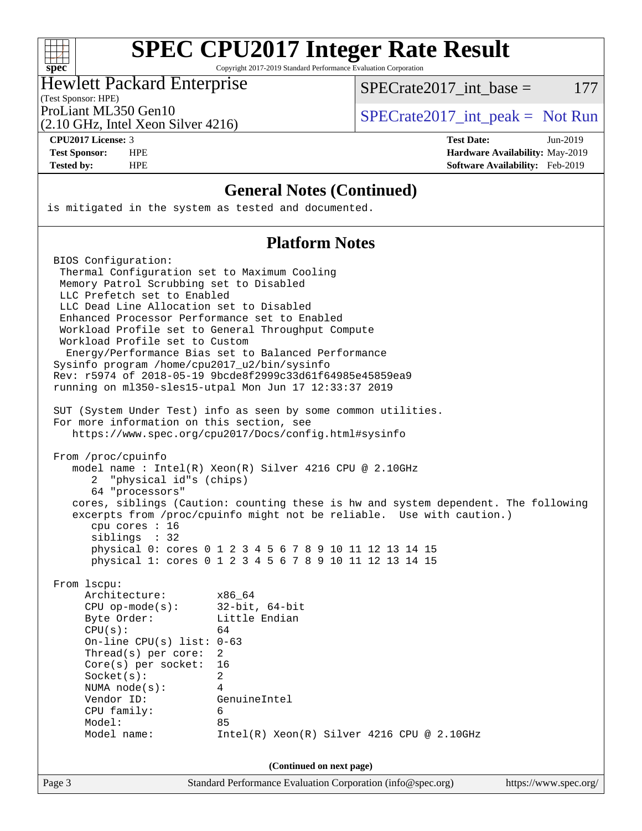#### $+\ +$ **[spec](http://www.spec.org/)**

# **[SPEC CPU2017 Integer Rate Result](http://www.spec.org/auto/cpu2017/Docs/result-fields.html#SPECCPU2017IntegerRateResult)**

Copyright 2017-2019 Standard Performance Evaluation Corporation

#### Hewlett Packard Enterprise

SPECrate2017 int\_base =  $177$ 

(Test Sponsor: HPE)

(2.10 GHz, Intel Xeon Silver 4216)

ProLiant ML350 Gen10  $SPECTA = 2017$  int peak = Not Run

**[CPU2017 License:](http://www.spec.org/auto/cpu2017/Docs/result-fields.html#CPU2017License)** 3 **[Test Date:](http://www.spec.org/auto/cpu2017/Docs/result-fields.html#TestDate)** Jun-2019 **[Test Sponsor:](http://www.spec.org/auto/cpu2017/Docs/result-fields.html#TestSponsor)** HPE **[Hardware Availability:](http://www.spec.org/auto/cpu2017/Docs/result-fields.html#HardwareAvailability)** May-2019 **[Tested by:](http://www.spec.org/auto/cpu2017/Docs/result-fields.html#Testedby)** HPE **[Software Availability:](http://www.spec.org/auto/cpu2017/Docs/result-fields.html#SoftwareAvailability)** Feb-2019

#### **[General Notes \(Continued\)](http://www.spec.org/auto/cpu2017/Docs/result-fields.html#GeneralNotes)**

is mitigated in the system as tested and documented.

#### **[Platform Notes](http://www.spec.org/auto/cpu2017/Docs/result-fields.html#PlatformNotes)**

Page 3 Standard Performance Evaluation Corporation [\(info@spec.org\)](mailto:info@spec.org) <https://www.spec.org/> BIOS Configuration: Thermal Configuration set to Maximum Cooling Memory Patrol Scrubbing set to Disabled LLC Prefetch set to Enabled LLC Dead Line Allocation set to Disabled Enhanced Processor Performance set to Enabled Workload Profile set to General Throughput Compute Workload Profile set to Custom Energy/Performance Bias set to Balanced Performance Sysinfo program /home/cpu2017\_u2/bin/sysinfo Rev: r5974 of 2018-05-19 9bcde8f2999c33d61f64985e45859ea9 running on ml350-sles15-utpal Mon Jun 17 12:33:37 2019 SUT (System Under Test) info as seen by some common utilities. For more information on this section, see <https://www.spec.org/cpu2017/Docs/config.html#sysinfo> From /proc/cpuinfo model name : Intel(R) Xeon(R) Silver 4216 CPU @ 2.10GHz 2 "physical id"s (chips) 64 "processors" cores, siblings (Caution: counting these is hw and system dependent. The following excerpts from /proc/cpuinfo might not be reliable. Use with caution.) cpu cores : 16 siblings : 32 physical 0: cores 0 1 2 3 4 5 6 7 8 9 10 11 12 13 14 15 physical 1: cores 0 1 2 3 4 5 6 7 8 9 10 11 12 13 14 15 From lscpu: Architecture: x86\_64 CPU op-mode(s): 32-bit, 64-bit Byte Order: Little Endian  $CPU(s):$  64 On-line CPU(s) list: 0-63 Thread(s) per core: 2 Core(s) per socket: 16 Socket(s): 2 NUMA node(s): 4 Vendor ID: GenuineIntel CPU family: 6 Model: 85 Model name: Intel(R) Xeon(R) Silver 4216 CPU @ 2.10GHz **(Continued on next page)**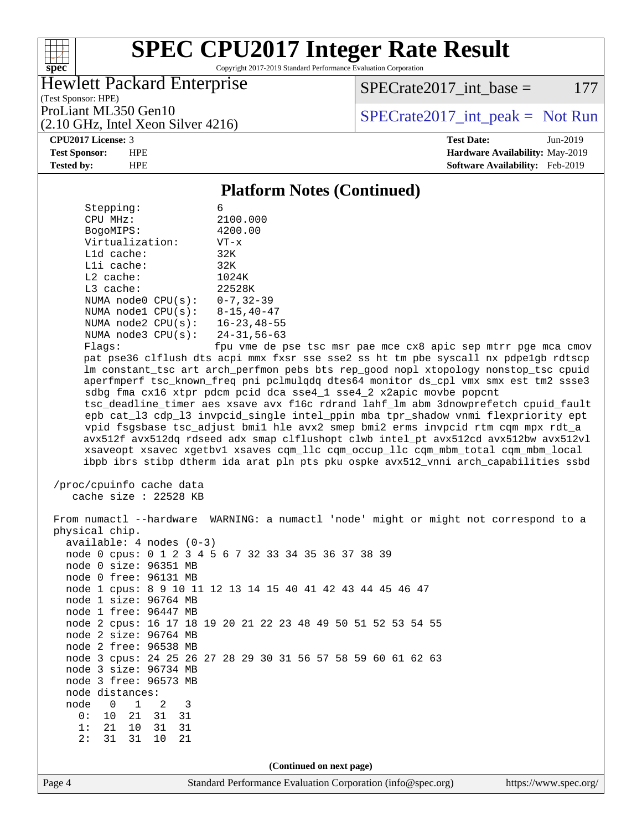#### $+\!\!+\!\!$ **[spec](http://www.spec.org/)**

# **[SPEC CPU2017 Integer Rate Result](http://www.spec.org/auto/cpu2017/Docs/result-fields.html#SPECCPU2017IntegerRateResult)**

Copyright 2017-2019 Standard Performance Evaluation Corporation

#### Hewlett Packard Enterprise

 $SPECrate2017\_int\_base = 177$ 

(Test Sponsor: HPE) (2.10 GHz, Intel Xeon Silver 4216)

ProLiant ML350 Gen10  $SPECTR_{12}$  [SPECrate2017\\_int\\_peak =](http://www.spec.org/auto/cpu2017/Docs/result-fields.html#SPECrate2017intpeak) Not Run

#### **[CPU2017 License:](http://www.spec.org/auto/cpu2017/Docs/result-fields.html#CPU2017License)** 3 **[Test Date:](http://www.spec.org/auto/cpu2017/Docs/result-fields.html#TestDate)** Jun-2019

**[Test Sponsor:](http://www.spec.org/auto/cpu2017/Docs/result-fields.html#TestSponsor)** HPE **[Hardware Availability:](http://www.spec.org/auto/cpu2017/Docs/result-fields.html#HardwareAvailability)** May-2019 **[Tested by:](http://www.spec.org/auto/cpu2017/Docs/result-fields.html#Testedby)** HPE **[Software Availability:](http://www.spec.org/auto/cpu2017/Docs/result-fields.html#SoftwareAvailability)** Feb-2019

#### **[Platform Notes \(Continued\)](http://www.spec.org/auto/cpu2017/Docs/result-fields.html#PlatformNotes)**

| Stepping:               | 6                  |
|-------------------------|--------------------|
| CPU MHz:                | 2100.000           |
| BogoMIPS:               | 4200.00            |
| Virtualization:         | $VT - x$           |
| $L1d$ cache:            | 32K                |
| Lli cache:              | 32K                |
| $L2$ cache:             | 1024K              |
| $L3$ cache:             | 22528K             |
| NUMA $node0$ $CPU(s)$ : | $0 - 7, 32 - 39$   |
| NUMA node1 CPU(s):      | $8 - 15, 40 - 47$  |
| NUMA node2 CPU(s):      | $16 - 23, 48 - 55$ |
| NUMA $node3$ $CPU(s):$  | $24 - 31, 56 - 63$ |
| $F1$ ane:               | fnu wme de r       |

fpu vme de pse tsc msr pae mce cx8 apic sep mtrr pge mca cmov pat pse36 clflush dts acpi mmx fxsr sse sse2 ss ht tm pbe syscall nx pdpe1gb rdtscp lm constant\_tsc art arch\_perfmon pebs bts rep\_good nopl xtopology nonstop\_tsc cpuid aperfmperf tsc\_known\_freq pni pclmulqdq dtes64 monitor ds\_cpl vmx smx est tm2 ssse3 sdbg fma cx16 xtpr pdcm pcid dca sse4\_1 sse4\_2 x2apic movbe popcnt tsc\_deadline\_timer aes xsave avx f16c rdrand lahf\_lm abm 3dnowprefetch cpuid\_fault epb cat\_l3 cdp\_l3 invpcid\_single intel\_ppin mba tpr\_shadow vnmi flexpriority ept vpid fsgsbase tsc\_adjust bmi1 hle avx2 smep bmi2 erms invpcid rtm cqm mpx rdt\_a avx512f avx512dq rdseed adx smap clflushopt clwb intel\_pt avx512cd avx512bw avx512vl xsaveopt xsavec xgetbv1 xsaves cqm\_llc cqm\_occup\_llc cqm\_mbm\_total cqm\_mbm\_local ibpb ibrs stibp dtherm ida arat pln pts pku ospke avx512\_vnni arch\_capabilities ssbd

```
 /proc/cpuinfo cache data
   cache size : 22528 KB
```
Page 4 Standard Performance Evaluation Corporation [\(info@spec.org\)](mailto:info@spec.org) <https://www.spec.org/> From numactl --hardware WARNING: a numactl 'node' might or might not correspond to a physical chip. available: 4 nodes (0-3) node 0 cpus: 0 1 2 3 4 5 6 7 32 33 34 35 36 37 38 39 node 0 size: 96351 MB node 0 free: 96131 MB node 1 cpus: 8 9 10 11 12 13 14 15 40 41 42 43 44 45 46 47 node 1 size: 96764 MB node 1 free: 96447 MB node 2 cpus: 16 17 18 19 20 21 22 23 48 49 50 51 52 53 54 55 node 2 size: 96764 MB node 2 free: 96538 MB node 3 cpus: 24 25 26 27 28 29 30 31 56 57 58 59 60 61 62 63 node 3 size: 96734 MB node 3 free: 96573 MB node distances: node 0 1 2 3 0: 10 21 31 31 1: 21 10 31 31 2: 31 31 10 21 **(Continued on next page)**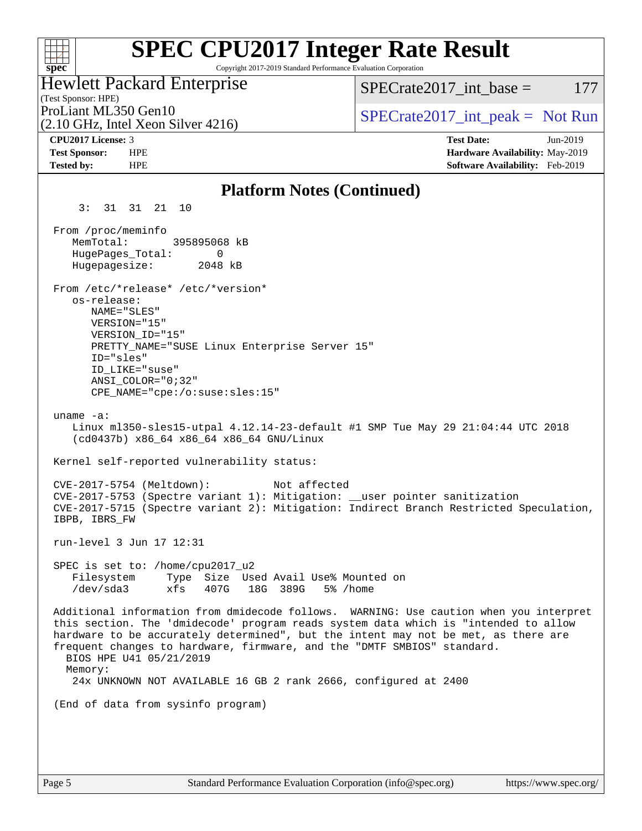#### **[SPEC CPU2017 Integer Rate Result](http://www.spec.org/auto/cpu2017/Docs/result-fields.html#SPECCPU2017IntegerRateResult)**  $+\ +$ Copyright 2017-2019 Standard Performance Evaluation Corporation **[spec](http://www.spec.org/)** Hewlett Packard Enterprise  $SPECTate2017$  int base = 177 (Test Sponsor: HPE) ProLiant ML350 Gen10  $SPECTR 1216$  [SPECrate2017\\_int\\_peak =](http://www.spec.org/auto/cpu2017/Docs/result-fields.html#SPECrate2017intpeak) Not Run (2.10 GHz, Intel Xeon Silver 4216) **[CPU2017 License:](http://www.spec.org/auto/cpu2017/Docs/result-fields.html#CPU2017License)** 3 **[Test Date:](http://www.spec.org/auto/cpu2017/Docs/result-fields.html#TestDate)** Jun-2019 **[Test Sponsor:](http://www.spec.org/auto/cpu2017/Docs/result-fields.html#TestSponsor)** HPE **[Hardware Availability:](http://www.spec.org/auto/cpu2017/Docs/result-fields.html#HardwareAvailability)** May-2019 **[Tested by:](http://www.spec.org/auto/cpu2017/Docs/result-fields.html#Testedby)** HPE **[Software Availability:](http://www.spec.org/auto/cpu2017/Docs/result-fields.html#SoftwareAvailability)** Feb-2019 **[Platform Notes \(Continued\)](http://www.spec.org/auto/cpu2017/Docs/result-fields.html#PlatformNotes)** 3: 31 31 21 10 From /proc/meminfo MemTotal: 395895068 kB HugePages\_Total: 0 Hugepagesize: 2048 kB From /etc/\*release\* /etc/\*version\* os-release: NAME="SLES" VERSION="15" VERSION\_ID="15" PRETTY\_NAME="SUSE Linux Enterprise Server 15" ID="sles" ID\_LIKE="suse" ANSI\_COLOR="0;32" CPE\_NAME="cpe:/o:suse:sles:15" uname -a: Linux ml350-sles15-utpal 4.12.14-23-default #1 SMP Tue May 29 21:04:44 UTC 2018 (cd0437b) x86\_64 x86\_64 x86\_64 GNU/Linux Kernel self-reported vulnerability status: CVE-2017-5754 (Meltdown): Not affected CVE-2017-5753 (Spectre variant 1): Mitigation: \_\_user pointer sanitization CVE-2017-5715 (Spectre variant 2): Mitigation: Indirect Branch Restricted Speculation, IBPB, IBRS\_FW run-level 3 Jun 17 12:31 SPEC is set to: /home/cpu2017\_u2 Filesystem Type Size Used Avail Use% Mounted on /dev/sda3 xfs 407G 18G 389G 5% /home Additional information from dmidecode follows. WARNING: Use caution when you interpret this section. The 'dmidecode' program reads system data which is "intended to allow hardware to be accurately determined", but the intent may not be met, as there are frequent changes to hardware, firmware, and the "DMTF SMBIOS" standard. BIOS HPE U41 05/21/2019 Memory: 24x UNKNOWN NOT AVAILABLE 16 GB 2 rank 2666, configured at 2400 (End of data from sysinfo program)

Page 5 Standard Performance Evaluation Corporation [\(info@spec.org\)](mailto:info@spec.org) <https://www.spec.org/>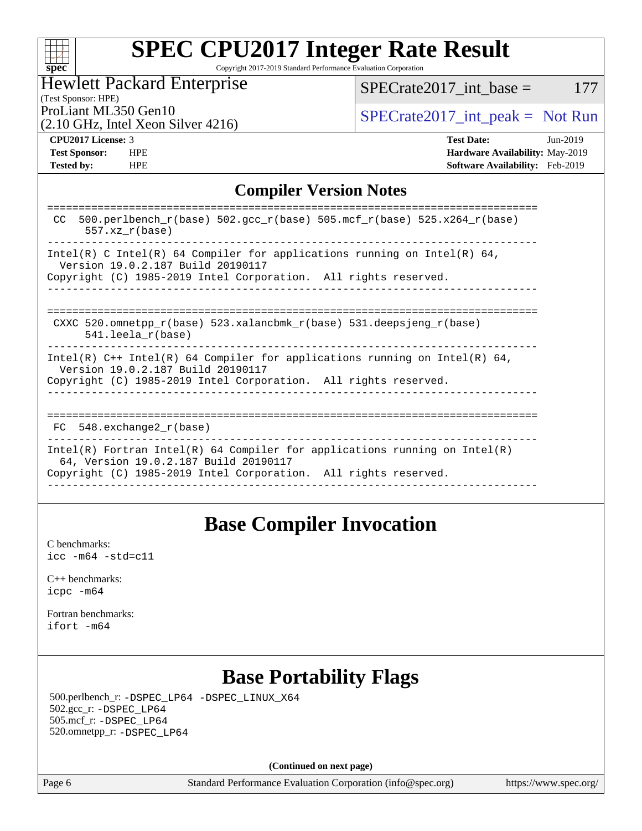

# **[SPEC CPU2017 Integer Rate Result](http://www.spec.org/auto/cpu2017/Docs/result-fields.html#SPECCPU2017IntegerRateResult)**

Copyright 2017-2019 Standard Performance Evaluation Corporation

## Hewlett Packard Enterprise

 $SPECTate2017\_int\_base = 177$ 

(Test Sponsor: HPE)

(2.10 GHz, Intel Xeon Silver 4216)

ProLiant ML350 Gen10<br>  $SPECTate2017\_int\_peak = Not Run$ 

**[Tested by:](http://www.spec.org/auto/cpu2017/Docs/result-fields.html#Testedby)** HPE **[Software Availability:](http://www.spec.org/auto/cpu2017/Docs/result-fields.html#SoftwareAvailability)** Feb-2019

**[CPU2017 License:](http://www.spec.org/auto/cpu2017/Docs/result-fields.html#CPU2017License)** 3 **[Test Date:](http://www.spec.org/auto/cpu2017/Docs/result-fields.html#TestDate)** Jun-2019 **[Test Sponsor:](http://www.spec.org/auto/cpu2017/Docs/result-fields.html#TestSponsor)** HPE **[Hardware Availability:](http://www.spec.org/auto/cpu2017/Docs/result-fields.html#HardwareAvailability)** May-2019

#### **[Compiler Version Notes](http://www.spec.org/auto/cpu2017/Docs/result-fields.html#CompilerVersionNotes)**

| $500. perlbench_r(base) 502. gcc_r(base) 505.mcf_r(base) 525.x264_r(base)$<br>CC.<br>$557.xx$ $r(base)$                                                                                |
|----------------------------------------------------------------------------------------------------------------------------------------------------------------------------------------|
| Intel(R) C Intel(R) 64 Compiler for applications running on Intel(R) 64,<br>Version 19.0.2.187 Build 20190117<br>Copyright (C) 1985-2019 Intel Corporation. All rights reserved.       |
| CXXC 520.omnetpp $r(base)$ 523.xalancbmk $r(base)$ 531.deepsjeng $r(base)$<br>$541.$ leela r(base)                                                                                     |
| Intel(R) $C++$ Intel(R) 64 Compiler for applications running on Intel(R) 64,<br>Version 19.0.2.187 Build 20190117<br>Copyright (C) 1985-2019 Intel Corporation. All rights reserved.   |
| 548.exchange2 r(base)<br>FC.                                                                                                                                                           |
| Intel(R) Fortran Intel(R) 64 Compiler for applications running on Intel(R)<br>64, Version 19.0.2.187 Build 20190117<br>Copyright (C) 1985-2019 Intel Corporation. All rights reserved. |
|                                                                                                                                                                                        |

## **[Base Compiler Invocation](http://www.spec.org/auto/cpu2017/Docs/result-fields.html#BaseCompilerInvocation)**

[C benchmarks](http://www.spec.org/auto/cpu2017/Docs/result-fields.html#Cbenchmarks): [icc -m64 -std=c11](http://www.spec.org/cpu2017/results/res2019q3/cpu2017-20190624-15527.flags.html#user_CCbase_intel_icc_64bit_c11_33ee0cdaae7deeeab2a9725423ba97205ce30f63b9926c2519791662299b76a0318f32ddfffdc46587804de3178b4f9328c46fa7c2b0cd779d7a61945c91cd35)

[C++ benchmarks:](http://www.spec.org/auto/cpu2017/Docs/result-fields.html#CXXbenchmarks) [icpc -m64](http://www.spec.org/cpu2017/results/res2019q3/cpu2017-20190624-15527.flags.html#user_CXXbase_intel_icpc_64bit_4ecb2543ae3f1412ef961e0650ca070fec7b7afdcd6ed48761b84423119d1bf6bdf5cad15b44d48e7256388bc77273b966e5eb805aefd121eb22e9299b2ec9d9)

[Fortran benchmarks](http://www.spec.org/auto/cpu2017/Docs/result-fields.html#Fortranbenchmarks): [ifort -m64](http://www.spec.org/cpu2017/results/res2019q3/cpu2017-20190624-15527.flags.html#user_FCbase_intel_ifort_64bit_24f2bb282fbaeffd6157abe4f878425411749daecae9a33200eee2bee2fe76f3b89351d69a8130dd5949958ce389cf37ff59a95e7a40d588e8d3a57e0c3fd751)

## **[Base Portability Flags](http://www.spec.org/auto/cpu2017/Docs/result-fields.html#BasePortabilityFlags)**

 500.perlbench\_r: [-DSPEC\\_LP64](http://www.spec.org/cpu2017/results/res2019q3/cpu2017-20190624-15527.flags.html#b500.perlbench_r_basePORTABILITY_DSPEC_LP64) [-DSPEC\\_LINUX\\_X64](http://www.spec.org/cpu2017/results/res2019q3/cpu2017-20190624-15527.flags.html#b500.perlbench_r_baseCPORTABILITY_DSPEC_LINUX_X64) 502.gcc\_r: [-DSPEC\\_LP64](http://www.spec.org/cpu2017/results/res2019q3/cpu2017-20190624-15527.flags.html#suite_basePORTABILITY502_gcc_r_DSPEC_LP64) 505.mcf\_r: [-DSPEC\\_LP64](http://www.spec.org/cpu2017/results/res2019q3/cpu2017-20190624-15527.flags.html#suite_basePORTABILITY505_mcf_r_DSPEC_LP64) 520.omnetpp\_r: [-DSPEC\\_LP64](http://www.spec.org/cpu2017/results/res2019q3/cpu2017-20190624-15527.flags.html#suite_basePORTABILITY520_omnetpp_r_DSPEC_LP64)

**(Continued on next page)**

Page 6 Standard Performance Evaluation Corporation [\(info@spec.org\)](mailto:info@spec.org) <https://www.spec.org/>